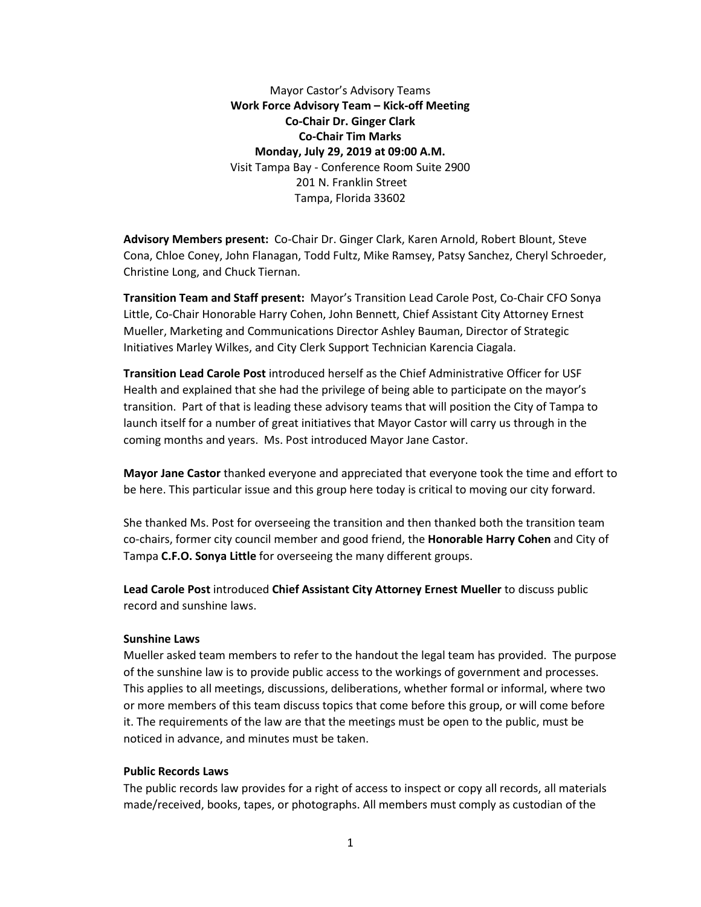Mayor Castor's Advisory Teams **Work Force Advisory Team – Kick-off Meeting Co-Chair Dr. Ginger Clark Co-Chair Tim Marks Monday, July 29, 2019 at 09:00 A.M.** Visit Tampa Bay - Conference Room Suite 2900 201 N. Franklin Street Tampa, Florida 33602

**Advisory Members present:** Co-Chair Dr. Ginger Clark, Karen Arnold, Robert Blount, Steve Cona, Chloe Coney, John Flanagan, Todd Fultz, Mike Ramsey, Patsy Sanchez, Cheryl Schroeder, Christine Long, and Chuck Tiernan.

**Transition Team and Staff present:** Mayor's Transition Lead Carole Post, Co-Chair CFO Sonya Little, Co-Chair Honorable Harry Cohen, John Bennett, Chief Assistant City Attorney Ernest Mueller, Marketing and Communications Director Ashley Bauman, Director of Strategic Initiatives Marley Wilkes, and City Clerk Support Technician Karencia Ciagala.

**Transition Lead Carole Post** introduced herself as the Chief Administrative Officer for USF Health and explained that she had the privilege of being able to participate on the mayor's transition. Part of that is leading these advisory teams that will position the City of Tampa to launch itself for a number of great initiatives that Mayor Castor will carry us through in the coming months and years. Ms. Post introduced Mayor Jane Castor.

**Mayor Jane Castor** thanked everyone and appreciated that everyone took the time and effort to be here. This particular issue and this group here today is critical to moving our city forward.

She thanked Ms. Post for overseeing the transition and then thanked both the transition team co-chairs, former city council member and good friend, the **Honorable Harry Cohen** and City of Tampa **C.F.O. Sonya Little** for overseeing the many different groups.

**Lead Carole Post** introduced **Chief Assistant City Attorney Ernest Mueller** to discuss public record and sunshine laws.

#### **Sunshine Laws**

Mueller asked team members to refer to the handout the legal team has provided. The purpose of the sunshine law is to provide public access to the workings of government and processes. This applies to all meetings, discussions, deliberations, whether formal or informal, where two or more members of this team discuss topics that come before this group, or will come before it. The requirements of the law are that the meetings must be open to the public, must be noticed in advance, and minutes must be taken.

### **Public Records Laws**

The public records law provides for a right of access to inspect or copy all records, all materials made/received, books, tapes, or photographs. All members must comply as custodian of the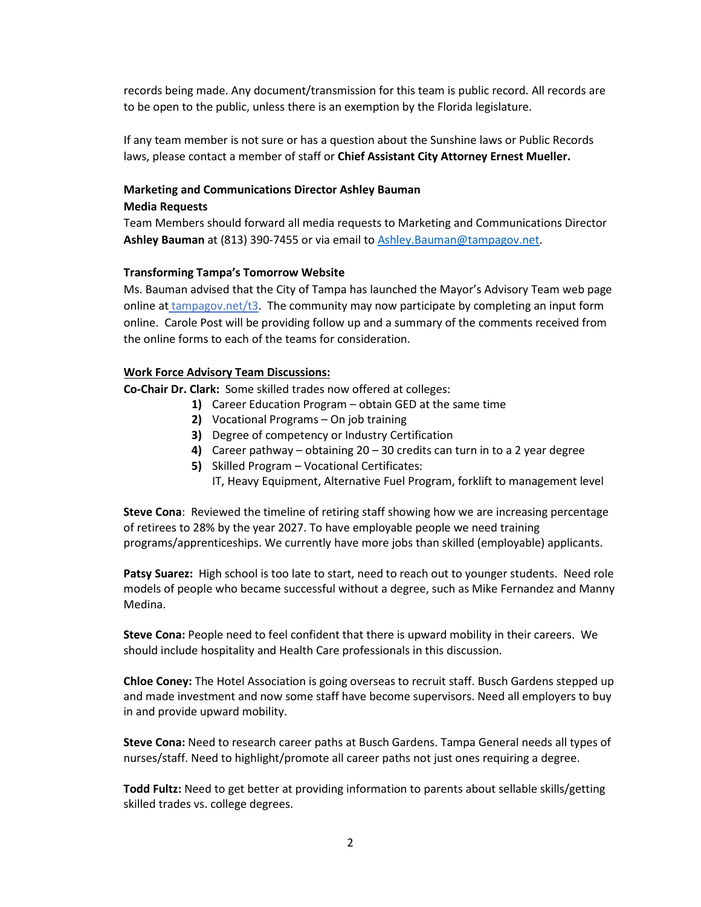records being made. Any document/transmission for this team is public record. All records are to be open to the public, unless there is an exemption by the Florida legislature.

If any team member is not sure or has a question about the Sunshine laws or Public Records laws, please contact a member of staff or **Chief Assistant City Attorney Ernest Mueller.**

# **Marketing and Communications Director Ashley Bauman Media Requests**

# Team Members should forward all media requests to Marketing and Communications Director **Ashley Bauman** at (813) 390-7455 or via email to [Ashley.Bauman@tampagov.net.](mailto:Ashley.Bauman@tampagov.net)

# **Transforming Tampa's Tomorrow Website**

Ms. Bauman advised that the City of Tampa has launched the Mayor's Advisory Team web page online at tampagov.net/t3. The community may now participate by completing an input form online. Carole Post will be providing follow up and a summary of the comments received from the online forms to each of the teams for consideration.

## **Work Force Advisory Team Discussions:**

**Co-Chair Dr. Clark:** Some skilled trades now offered at colleges:

- **1)** Career Education Program obtain GED at the same time
- **2)** Vocational Programs On job training
- **3)** Degree of competency or Industry Certification
- **4)** Career pathway obtaining 20 30 credits can turn in to a 2 year degree
- **5)** Skilled Program Vocational Certificates:
	- IT, Heavy Equipment, Alternative Fuel Program, forklift to management level

**Steve Cona**: Reviewed the timeline of retiring staff showing how we are increasing percentage of retirees to 28% by the year 2027. To have employable people we need training programs/apprenticeships. We currently have more jobs than skilled (employable) applicants.

**Patsy Suarez:** High school is too late to start, need to reach out to younger students. Need role models of people who became successful without a degree, such as Mike Fernandez and Manny Medina.

**Steve Cona:** People need to feel confident that there is upward mobility in their careers. We should include hospitality and Health Care professionals in this discussion.

**Chloe Coney:** The Hotel Association is going overseas to recruit staff. Busch Gardens stepped up and made investment and now some staff have become supervisors. Need all employers to buy in and provide upward mobility.

**Steve Cona:** Need to research career paths at Busch Gardens. Tampa General needs all types of nurses/staff. Need to highlight/promote all career paths not just ones requiring a degree.

**Todd Fultz:** Need to get better at providing information to parents about sellable skills/getting skilled trades vs. college degrees.